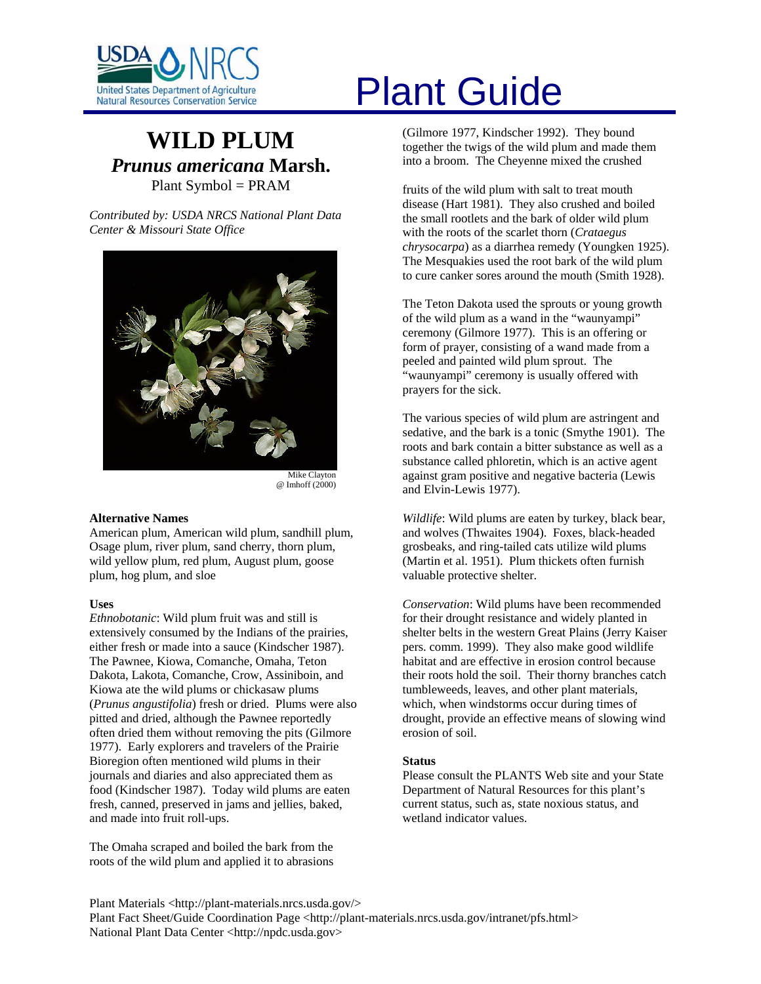

# **WILD PLUM** *Prunus americana* **Marsh.**  Plant Symbol = PRAM

*Contributed by: USDA NRCS National Plant Data Center & Missouri State Office* 



@ Imhoff (2000)

# **Alternative Names**

American plum, American wild plum, sandhill plum, Osage plum, river plum, sand cherry, thorn plum, wild yellow plum, red plum, August plum, goose plum, hog plum, and sloe

# **Uses**

*Ethnobotanic*: Wild plum fruit was and still is extensively consumed by the Indians of the prairies, either fresh or made into a sauce (Kindscher 1987). The Pawnee, Kiowa, Comanche, Omaha, Teton Dakota, Lakota, Comanche, Crow, Assiniboin, and Kiowa ate the wild plums or chickasaw plums (*Prunus angustifolia*) fresh or dried. Plums were also pitted and dried, although the Pawnee reportedly often dried them without removing the pits (Gilmore 1977). Early explorers and travelers of the Prairie Bioregion often mentioned wild plums in their journals and diaries and also appreciated them as food (Kindscher 1987). Today wild plums are eaten fresh, canned, preserved in jams and jellies, baked, and made into fruit roll-ups.

The Omaha scraped and boiled the bark from the roots of the wild plum and applied it to abrasions

# United States Department of Agriculture<br>Natural Resources Conservation Service

(Gilmore 1977, Kindscher 1992). They bound together the twigs of the wild plum and made them into a broom. The Cheyenne mixed the crushed

fruits of the wild plum with salt to treat mouth disease (Hart 1981). They also crushed and boiled the small rootlets and the bark of older wild plum with the roots of the scarlet thorn (*Crataegus chrysocarpa*) as a diarrhea remedy (Youngken 1925). The Mesquakies used the root bark of the wild plum to cure canker sores around the mouth (Smith 1928).

The Teton Dakota used the sprouts or young growth of the wild plum as a wand in the "waunyampi" ceremony (Gilmore 1977). This is an offering or form of prayer, consisting of a wand made from a peeled and painted wild plum sprout. The "waunyampi" ceremony is usually offered with prayers for the sick.

The various species of wild plum are astringent and sedative, and the bark is a tonic (Smythe 1901). The roots and bark contain a bitter substance as well as a substance called phloretin, which is an active agent against gram positive and negative bacteria (Lewis and Elvin-Lewis 1977).

*Wildlife*: Wild plums are eaten by turkey, black bear, and wolves (Thwaites 1904). Foxes, black-headed grosbeaks, and ring-tailed cats utilize wild plums (Martin et al. 1951). Plum thickets often furnish valuable protective shelter.

*Conservation*: Wild plums have been recommended for their drought resistance and widely planted in shelter belts in the western Great Plains (Jerry Kaiser pers. comm. 1999). They also make good wildlife habitat and are effective in erosion control because their roots hold the soil. Their thorny branches catch tumbleweeds, leaves, and other plant materials, which, when windstorms occur during times of drought, provide an effective means of slowing wind erosion of soil.

# **Status**

Please consult the PLANTS Web site and your State Department of Natural Resources for this plant's current status, such as, state noxious status, and wetland indicator values.

Plant Materials <http://plant-materials.nrcs.usda.gov/> Plant Fact Sheet/Guide Coordination Page <http://plant-materials.nrcs.usda.gov/intranet/pfs.html> National Plant Data Center <http://npdc.usda.gov>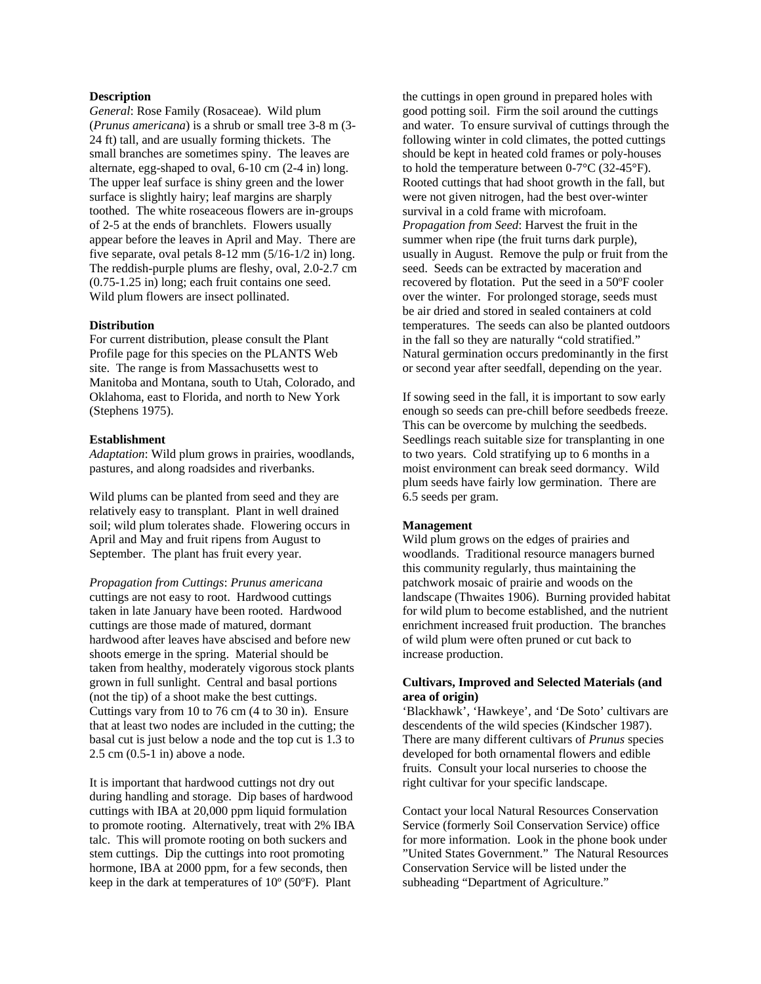### **Description**

*General*: Rose Family (Rosaceae). Wild plum (*Prunus americana*) is a shrub or small tree 3-8 m (3- 24 ft) tall, and are usually forming thickets. The small branches are sometimes spiny. The leaves are alternate, egg-shaped to oval, 6-10 cm (2-4 in) long. The upper leaf surface is shiny green and the lower surface is slightly hairy; leaf margins are sharply toothed. The white roseaceous flowers are in-groups of 2-5 at the ends of branchlets. Flowers usually appear before the leaves in April and May. There are five separate, oval petals 8-12 mm (5/16-1/2 in) long. The reddish-purple plums are fleshy, oval, 2.0-2.7 cm (0.75-1.25 in) long; each fruit contains one seed. Wild plum flowers are insect pollinated.

#### **Distribution**

For current distribution, please consult the Plant Profile page for this species on the PLANTS Web site. The range is from Massachusetts west to Manitoba and Montana, south to Utah, Colorado, and Oklahoma, east to Florida, and north to New York (Stephens 1975).

#### **Establishment**

*Adaptation*: Wild plum grows in prairies, woodlands, pastures, and along roadsides and riverbanks.

Wild plums can be planted from seed and they are relatively easy to transplant. Plant in well drained soil; wild plum tolerates shade. Flowering occurs in April and May and fruit ripens from August to September. The plant has fruit every year.

*Propagation from Cuttings*: *Prunus americana* cuttings are not easy to root. Hardwood cuttings taken in late January have been rooted. Hardwood cuttings are those made of matured, dormant hardwood after leaves have abscised and before new shoots emerge in the spring. Material should be taken from healthy, moderately vigorous stock plants grown in full sunlight. Central and basal portions (not the tip) of a shoot make the best cuttings. Cuttings vary from 10 to 76 cm (4 to 30 in). Ensure that at least two nodes are included in the cutting; the basal cut is just below a node and the top cut is 1.3 to 2.5 cm (0.5-1 in) above a node.

It is important that hardwood cuttings not dry out during handling and storage. Dip bases of hardwood cuttings with IBA at 20,000 ppm liquid formulation to promote rooting. Alternatively, treat with 2% IBA talc. This will promote rooting on both suckers and stem cuttings. Dip the cuttings into root promoting hormone, IBA at 2000 ppm, for a few seconds, then keep in the dark at temperatures of 10º (50ºF). Plant

the cuttings in open ground in prepared holes with good potting soil. Firm the soil around the cuttings and water. To ensure survival of cuttings through the following winter in cold climates, the potted cuttings should be kept in heated cold frames or poly-houses to hold the temperature between 0-7°C (32-45°F). Rooted cuttings that had shoot growth in the fall, but were not given nitrogen, had the best over-winter survival in a cold frame with microfoam. *Propagation from Seed*: Harvest the fruit in the summer when ripe (the fruit turns dark purple), usually in August. Remove the pulp or fruit from the seed. Seeds can be extracted by maceration and recovered by flotation. Put the seed in a 50ºF cooler over the winter. For prolonged storage, seeds must be air dried and stored in sealed containers at cold temperatures. The seeds can also be planted outdoors in the fall so they are naturally "cold stratified." Natural germination occurs predominantly in the first or second year after seedfall, depending on the year.

If sowing seed in the fall, it is important to sow early enough so seeds can pre-chill before seedbeds freeze. This can be overcome by mulching the seedbeds. Seedlings reach suitable size for transplanting in one to two years. Cold stratifying up to 6 months in a moist environment can break seed dormancy. Wild plum seeds have fairly low germination. There are 6.5 seeds per gram.

# **Management**

Wild plum grows on the edges of prairies and woodlands. Traditional resource managers burned this community regularly, thus maintaining the patchwork mosaic of prairie and woods on the landscape (Thwaites 1906). Burning provided habitat for wild plum to become established, and the nutrient enrichment increased fruit production. The branches of wild plum were often pruned or cut back to increase production.

# **Cultivars, Improved and Selected Materials (and area of origin)**

'Blackhawk', 'Hawkeye', and 'De Soto' cultivars are descendents of the wild species (Kindscher 1987). There are many different cultivars of *Prunus* species developed for both ornamental flowers and edible fruits. Consult your local nurseries to choose the right cultivar for your specific landscape.

Contact your local Natural Resources Conservation Service (formerly Soil Conservation Service) office for more information. Look in the phone book under "United States Government." The Natural Resources Conservation Service will be listed under the subheading "Department of Agriculture."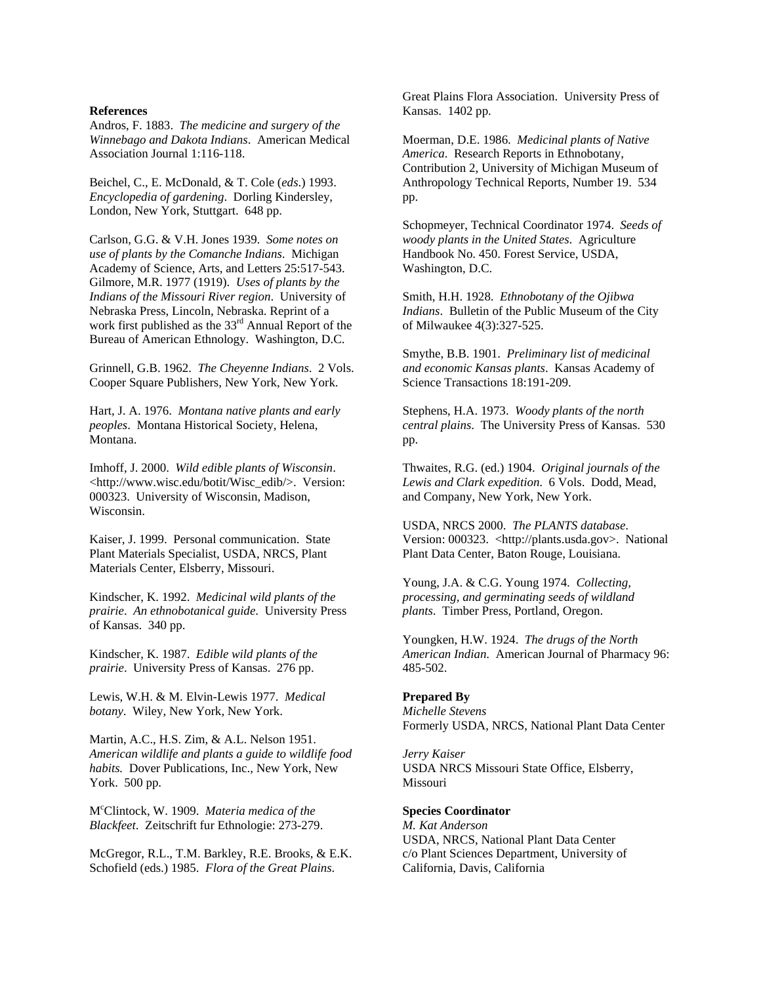#### **References**

Andros, F. 1883. *The medicine and surgery of the Winnebago and Dakota Indians*. American Medical Association Journal 1:116-118.

Beichel, C., E. McDonald, & T. Cole (*eds*.) 1993. *Encyclopedia of gardening*. Dorling Kindersley, London, New York, Stuttgart. 648 pp.

Carlson, G.G. & V.H. Jones 1939*. Some notes on use of plants by the Comanche Indians*. Michigan Academy of Science, Arts, and Letters 25:517-543. Gilmore, M.R. 1977 (1919). *Uses of plants by the Indians of the Missouri River region*. University of Nebraska Press, Lincoln, Nebraska. Reprint of a work first published as the  $33<sup>rd</sup>$  Annual Report of the Bureau of American Ethnology. Washington, D.C.

Grinnell, G.B. 1962. *The Cheyenne Indians*. 2 Vols. Cooper Square Publishers, New York, New York.

Hart, J. A. 1976. *Montana native plants and early peoples*. Montana Historical Society, Helena, Montana.

Imhoff, J. 2000. *Wild edible plants of Wisconsin*. <http://www.wisc.edu/botit/Wisc\_edib/>. Version: 000323. University of Wisconsin, Madison, Wisconsin.

Kaiser, J. 1999. Personal communication. State Plant Materials Specialist, USDA, NRCS, Plant Materials Center, Elsberry, Missouri.

Kindscher, K. 1992. *Medicinal wild plants of the prairie*. *An ethnobotanical guide*. University Press of Kansas. 340 pp.

Kindscher, K. 1987. *Edible wild plants of the prairie*. University Press of Kansas. 276 pp.

Lewis, W.H. & M. Elvin-Lewis 1977. *Medical botany*. Wiley, New York, New York.

Martin, A.C., H.S. Zim, & A.L. Nelson 1951. *American wildlife and plants a guide to wildlife food habits.* Dover Publications, Inc., New York, New York. 500 pp.

Mc Clintock, W. 1909. *Materia medica of the Blackfeet*. Zeitschrift fur Ethnologie: 273-279.

McGregor, R.L., T.M. Barkley, R.E. Brooks, & E.K. Schofield (eds.) 1985. *Flora of the Great Plains*.

Great Plains Flora Association. University Press of Kansas. 1402 pp.

Moerman, D.E. 1986. *Medicinal plants of Native America*. Research Reports in Ethnobotany, Contribution 2, University of Michigan Museum of Anthropology Technical Reports, Number 19. 534 pp.

Schopmeyer, Technical Coordinator 1974. *Seeds of woody plants in the United States*. Agriculture Handbook No. 450. Forest Service, USDA, Washington, D.C.

Smith, H.H. 1928. *Ethnobotany of the Ojibwa Indians*. Bulletin of the Public Museum of the City of Milwaukee 4(3):327-525.

Smythe, B.B. 1901. *Preliminary list of medicinal and economic Kansas plants*. Kansas Academy of Science Transactions 18:191-209.

Stephens, H.A. 1973. *Woody plants of the north central plains*. The University Press of Kansas. 530 pp.

Thwaites, R.G. (ed.) 1904. *Original journals of the Lewis and Clark expedition*. 6 Vols. Dodd, Mead, and Company, New York, New York.

USDA, NRCS 2000. *The PLANTS database*. Version: 000323. <http://plants.usda.gov>. National Plant Data Center, Baton Rouge, Louisiana.

Young, J.A. & C.G. Young 1974. *Collecting, processing, and germinating seeds of wildland plants*. Timber Press, Portland, Oregon.

Youngken, H.W. 1924. *The drugs of the North American Indian*. American Journal of Pharmacy 96: 485-502.

# **Prepared By**

*Michelle Stevens*  Formerly USDA, NRCS, National Plant Data Center

*Jerry Kaiser*  USDA NRCS Missouri State Office, Elsberry, Missouri

# **Species Coordinator**

*M. Kat Anderson*  USDA, NRCS, National Plant Data Center c/o Plant Sciences Department, University of California, Davis, California